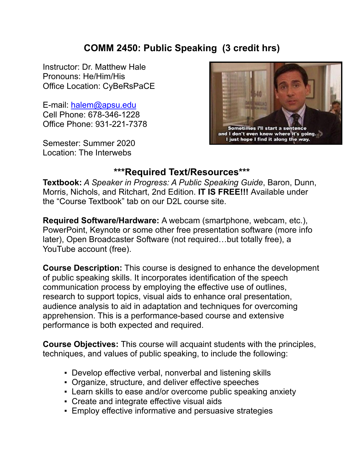### **COMM 2450: Public Speaking (3 credit hrs)**

Instructor: Dr. Matthew Hale Pronouns: He/Him/His Office Location: CyBeRsPaCE

E-mail: halem@apsu.edu Cell Phone: 678-346-1228 Office Phone: 931-221-7378

Semester: Summer 2020 Location: The Interwebs



### **\*\*\*Required Text/Resources\*\*\***

**Textbook:** *A Speaker in Progress: A Public Speaking Guide*, Baron, Dunn, Morris, Nichols, and Ritchart, 2nd Edition. **IT IS FREE!!!** Available under the "Course Textbook" tab on our D2L course site.

**Required Software/Hardware:** A webcam (smartphone, webcam, etc.), PowerPoint, Keynote or some other free presentation software (more info later), Open Broadcaster Software (not required…but totally free), a YouTube account (free).

**Course Description:** This course is designed to enhance the development of public speaking skills. It incorporates identification of the speech communication process by employing the effective use of outlines, research to support topics, visual aids to enhance oral presentation, audience analysis to aid in adaptation and techniques for overcoming apprehension. This is a performance-based course and extensive performance is both expected and required.

**Course Objectives:** This course will acquaint students with the principles, techniques, and values of public speaking, to include the following:

- Develop effective verbal, nonverbal and listening skills
- Organize, structure, and deliver effective speeches
- Learn skills to ease and/or overcome public speaking anxiety
- Create and integrate effective visual aids
- **Employ effective informative and persuasive strategies**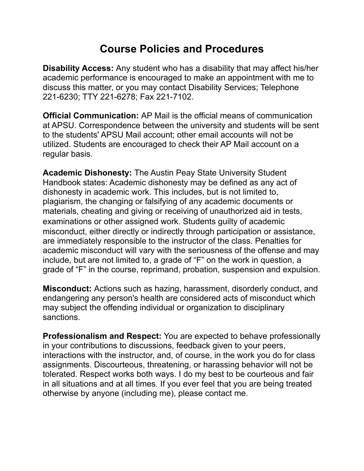## **Course Policies and Procedures**

**Disability Access:** Any student who has a disability that may affect his/her academic performance is encouraged to make an appointment with me to discuss this matter, or you may contact Disability Services; Telephone 221-6230; TTY 221-6278; Fax 221-7102.

**Official Communication:** AP Mail is the official means of communication at APSU. Correspondence between the university and students will be sent to the students' APSU Mail account; other email accounts will not be utilized. Students are encouraged to check their AP Mail account on a regular basis.

**Academic Dishonesty:** The Austin Peay State University Student Handbook states: Academic dishonesty may be defined as any act of dishonesty in academic work. This includes, but is not limited to, plagiarism, the changing or falsifying of any academic documents or materials, cheating and giving or receiving of unauthorized aid in tests, examinations or other assigned work. Students guilty of academic misconduct, either directly or indirectly through participation or assistance, are immediately responsible to the instructor of the class. Penalties for academic misconduct will vary with the seriousness of the offense and may include, but are not limited to, a grade of "F" on the work in question, a grade of "F" in the course, reprimand, probation, suspension and expulsion.

**Misconduct:** Actions such as hazing, harassment, disorderly conduct, and endangering any person's health are considered acts of misconduct which may subject the offending individual or organization to disciplinary sanctions.

**Professionalism and Respect:** You are expected to behave professionally in your contributions to discussions, feedback given to your peers, interactions with the instructor, and, of course, in the work you do for class assignments. Discourteous, threatening, or harassing behavior will not be tolerated. Respect works both ways. I do my best to be courteous and fair in all situations and at all times. If you ever feel that you are being treated otherwise by anyone (including me), please contact me.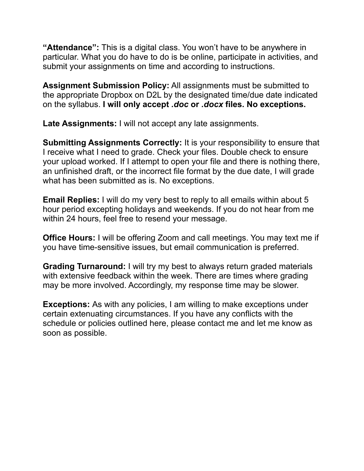**"Attendance":** This is a digital class. You won't have to be anywhere in particular. What you do have to do is be online, participate in activities, and submit your assignments on time and according to instructions.

**Assignment Submission Policy:** All assignments must be submitted to the appropriate Dropbox on D2L by the designated time/due date indicated on the syllabus. **I will only accept** *.doc* **or** *.docx* **files. No exceptions.** 

**Late Assignments:** I will not accept any late assignments.

**Submitting Assignments Correctly:** It is your responsibility to ensure that I receive what I need to grade. Check your files. Double check to ensure your upload worked. If I attempt to open your file and there is nothing there, an unfinished draft, or the incorrect file format by the due date, I will grade what has been submitted as is. No exceptions.

**Email Replies:** I will do my very best to reply to all emails within about 5 hour period excepting holidays and weekends. If you do not hear from me within 24 hours, feel free to resend your message.

**Office Hours:** I will be offering Zoom and call meetings. You may text me if you have time-sensitive issues, but email communication is preferred.

**Grading Turnaround:** I will try my best to always return graded materials with extensive feedback within the week. There are times where grading may be more involved. Accordingly, my response time may be slower.

**Exceptions:** As with any policies, I am willing to make exceptions under certain extenuating circumstances. If you have any conflicts with the schedule or policies outlined here, please contact me and let me know as soon as possible.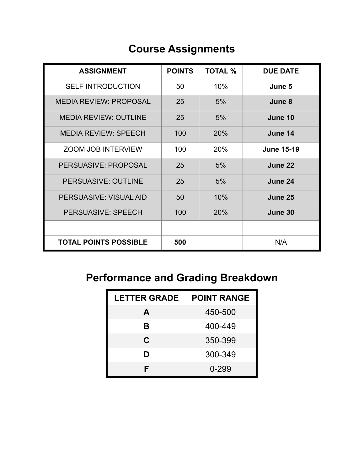# **Course Assignments**

| <b>ASSIGNMENT</b>             | <b>POINTS</b> | <b>TOTAL %</b> | <b>DUE DATE</b>   |
|-------------------------------|---------------|----------------|-------------------|
| <b>SELF INTRODUCTION</b>      | 50            | 10%            | June 5            |
| <b>MEDIA REVIEW: PROPOSAL</b> | 25            | 5%             | June 8            |
| <b>MEDIA REVIEW: OUTLINE</b>  | 25            | 5%             | June 10           |
| <b>MEDIA REVIEW: SPEECH</b>   | 100           | 20%            | June 14           |
| <b>ZOOM JOB INTERVIEW</b>     | 100           | 20%            | <b>June 15-19</b> |
| <b>PERSUASIVE: PROPOSAL</b>   | 25            | 5%             | June 22           |
| PERSUASIVE: OUTLINE           | 25            | 5%             | June 24           |
| PERSUASIVE: VISUAL AID        | 50            | 10%            | June 25           |
| PERSUASIVE: SPEECH            | 100           | 20%            | June 30           |
|                               |               |                |                   |
| <b>TOTAL POINTS POSSIBLE</b>  | 500           |                | N/A               |

# **Performance and Grading Breakdown**

| <b>LETTER GRADE</b> | <b>POINT RANGE</b> |
|---------------------|--------------------|
| A                   | 450-500            |
| В                   | 400-449            |
| C                   | 350-399            |
| D                   | 300-349            |
| F                   | 0-299              |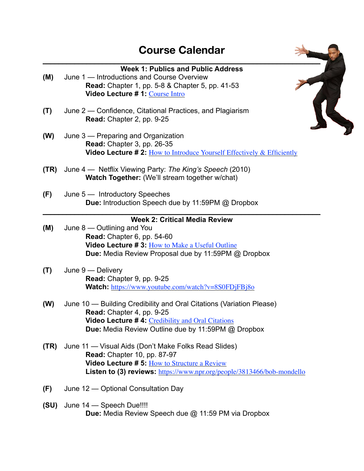

**Due:** Media Review Speech due @ 11:59 PM via Dropbox